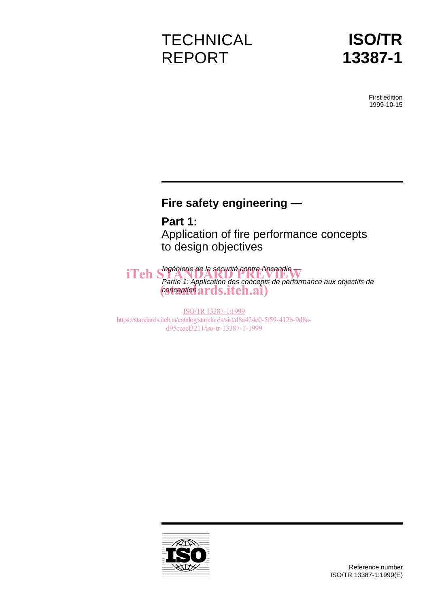# **TECHNICAL** REPORT



First edition 1999-10-15

# **Fire safety engineering —**

**Part 1:** Application of fire performance concepts to design objectives

iTeh Shapenierie de la sécurité contre l'incendie Partie 1: Application des concepts de performance aux objectifs de conception (standards.iteh.ai)

ISO/TR13387-1:1999 https://standards.iteh.ai/catalog/standards/sist/d8a424c0-5f59-412b-9d8ad95ceaef3211/iso-tr-13387-1-1999

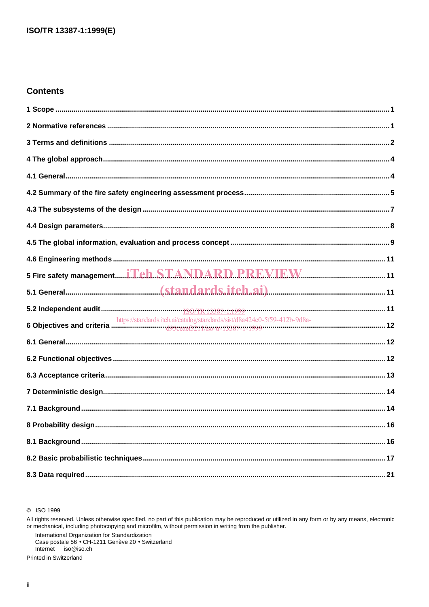# **Contents**

| https://standards.iteh.ai/catalog/standards/sist/d8a424c0-5f59-412b-9d8a-<br>12. https://standards.iteh.ai/catalog/standards/sist/d8a424c0-5f59-412b-9d8a- |  |
|------------------------------------------------------------------------------------------------------------------------------------------------------------|--|
|                                                                                                                                                            |  |
|                                                                                                                                                            |  |
|                                                                                                                                                            |  |
|                                                                                                                                                            |  |
|                                                                                                                                                            |  |
|                                                                                                                                                            |  |
|                                                                                                                                                            |  |
|                                                                                                                                                            |  |
|                                                                                                                                                            |  |

C ISO 1999

All rights reserved. Unless otherwise specified, no part of this publication may be reproduced or utilized in any form or by any means, electronic<br>or mechanical, including photocopying and microfilm, without permission in

International Organization for Standardization<br>Case postale 56 • CH-1211 Genève 20 • Switzerland Internet iso@iso.ch

Printed in Switzerland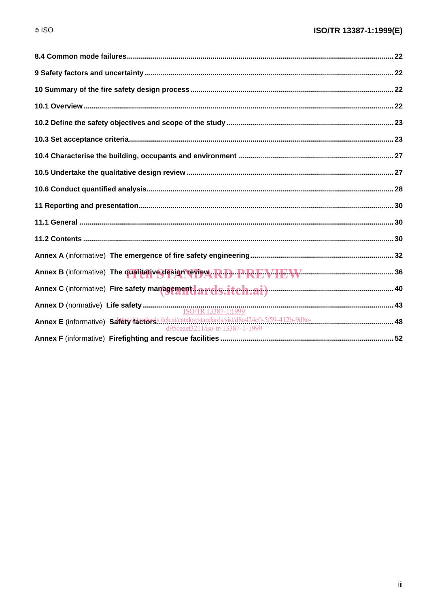| Annex E (informative) Safety factors.iteh.ai/catalog/standards/sist/d8a424c0-5f59-412b-9d8a-<br>d95ceaef3211/iso-tr-13387-1-1999 |  |
|----------------------------------------------------------------------------------------------------------------------------------|--|
|                                                                                                                                  |  |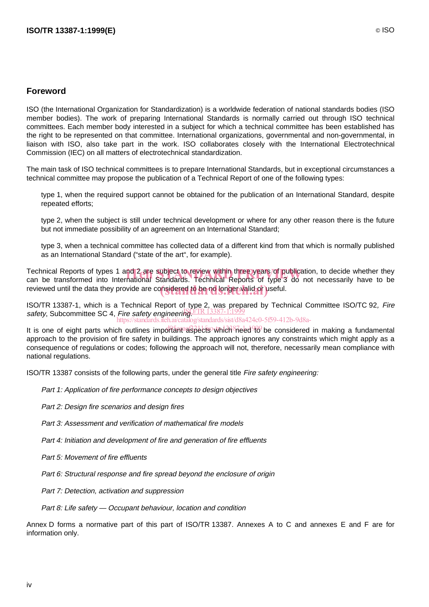# **Foreword**

ISO (the International Organization for Standardization) is a worldwide federation of national standards bodies (ISO member bodies). The work of preparing International Standards is normally carried out through ISO technical committees. Each member body interested in a subject for which a technical committee has been established has the right to be represented on that committee. International organizations, governmental and non-governmental, in liaison with ISO, also take part in the work. ISO collaborates closely with the International Electrotechnical Commission (IEC) on all matters of electrotechnical standardization.

The main task of ISO technical committees is to prepare International Standards, but in exceptional circumstances a technical committee may propose the publication of a Technical Report of one of the following types:

- type 1, when the required support cannot be obtained for the publication of an International Standard, despite repeated efforts;
- type 2, when the subject is still under technical development or where for any other reason there is the future but not immediate possibility of an agreement on an International Standard;
- type 3, when a technical committee has collected data of a different kind from that which is normally published as an International Standard ("state of the art", for example).

Technical Reports of types 1 and 2 are subject to review within three years of publication, to decide whether they<br>can be transformed into International Standards. Technical Reports of type 3 do not necessarily have to be can be transformed into International Standards. Technical Reports of type 3 do not necessarily have to be reviewed until the data they provide are considered to be no longer valid or useful.

ISO/TR 13387-1, which is a Technical Report of type 2, was prepared by Technical Committee ISO/TC 92, Fire safety, Subcommittee SC 4, Fire safety engineering. TR 13387-1:1999 .ai/catalog/standards/sist/d8a424c0-5f59-412b-9d8a-

It is one of eight parts which outlines important aspects which need to be considered in making a fundamental approach to the provision of fire safety in buildings. The approach ignores any constraints which might apply as a consequence of regulations or codes; following the approach will not, therefore, necessarily mean compliance with national regulations.

ISO/TR 13387 consists of the following parts, under the general title Fire safety engineering:

- Part 1: Application of fire performance concepts to design objectives
- Part 2: Design fire scenarios and design fires
- Part 3: Assessment and verification of mathematical fire models
- Part 4: Initiation and development of fire and generation of fire effluents
- Part 5: Movement of fire effluents
- Part 6: Structural response and fire spread beyond the enclosure of origin
- Part 7: Detection, activation and suppression
- Part 8: Life safety Occupant behaviour, location and condition

Annex D forms a normative part of this part of ISO/TR 13387. Annexes A to C and annexes E and F are for information only.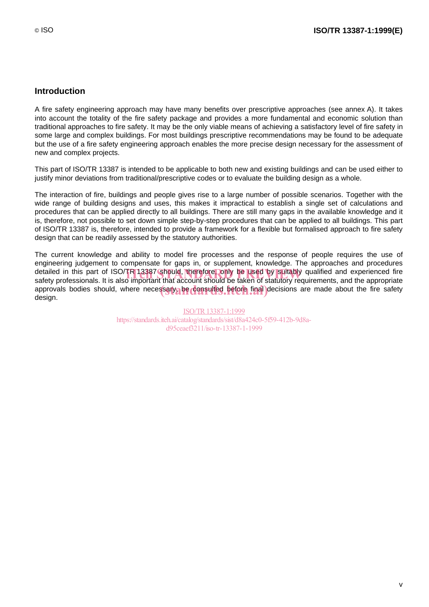# **Introduction**

A fire safety engineering approach may have many benefits over prescriptive approaches (see annex A). It takes into account the totality of the fire safety package and provides a more fundamental and economic solution than traditional approaches to fire safety. It may be the only viable means of achieving a satisfactory level of fire safety in some large and complex buildings. For most buildings prescriptive recommendations may be found to be adequate but the use of a fire safety engineering approach enables the more precise design necessary for the assessment of new and complex projects.

This part of ISO/TR 13387 is intended to be applicable to both new and existing buildings and can be used either to justify minor deviations from traditional/prescriptive codes or to evaluate the building design as a whole.

The interaction of fire, buildings and people gives rise to a large number of possible scenarios. Together with the wide range of building designs and uses, this makes it impractical to establish a single set of calculations and procedures that can be applied directly to all buildings. There are still many gaps in the available knowledge and it is, therefore, not possible to set down simple step-by-step procedures that can be applied to all buildings. This part of ISO/TR 13387 is, therefore, intended to provide a framework for a flexible but formalised approach to fire safety design that can be readily assessed by the statutory authorities.

The current knowledge and ability to model fire processes and the response of people requires the use of engineering judgement to compensate for gaps in, or supplement, knowledge. The approaches and procedures detailed in this part of ISO/TR 13387 should, therefore, only be used by suitably qualified and experienced fire<br>safety professionals. It is also important that account should be taken of statutory requirements, and the ap safety professionals. It is also important that account should be taken of statutory requirements, and the appropriate approvals bodies should, where necessary, be consulted before final decisions are made about the fire safety design.

> ISO/TR13387-1:1999 https://standards.iteh.ai/catalog/standards/sist/d8a424c0-5f59-412b-9d8ad95ceaef3211/iso-tr-13387-1-1999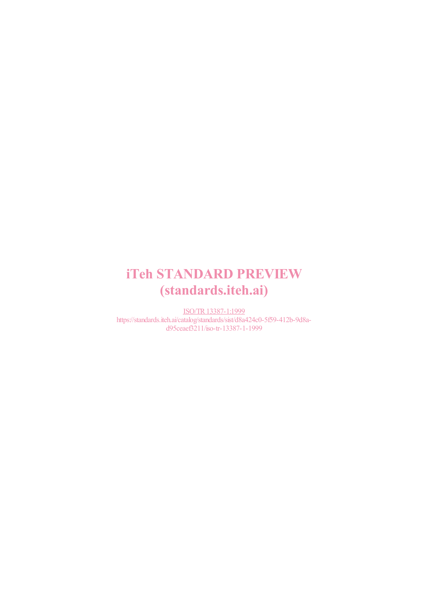# iTeh STANDARD PREVIEW (standards.iteh.ai)

ISO/TR13387-1:1999 https://standards.iteh.ai/catalog/standards/sist/d8a424c0-5f59-412b-9d8ad95ceaef3211/iso-tr-13387-1-1999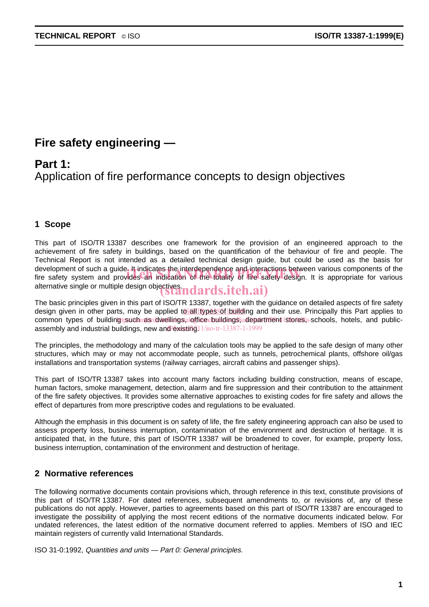# **Fire safety engineering —**

# **Part 1:** Application of fire performance concepts to design objectives

# **1 Scope**

This part of ISO/TR 13387 describes one framework for the provision of an engineered approach to the achievement of fire safety in buildings, based on the quantification of the behaviour of fire and people. The Technical Report is not intended as a detailed technical design guide, but could be used as the basis for development of such a guide. It indicates the interdependence and interactions between various components of the development of such a guide. It indicates the interdependence and interactions between various components of the<br>fire safety system and provides an indication of the totality of fire safety design. It is appropriate for va alternative single or multiple design objectives. $\mathbf{u}$ ndards.iteh.ai)

The basic principles given in this part of ISO/TR 13387, together with the guidance on detailed aspects of fire safety design given in other parts, may be applied to all types of building and their use. Principally this Part applies to common types of buildingt such ras dwellings aloffice duildings, department stores a-schools, hotels, and publicassembly and industrial buildings, new and existing 11/iso-tr-13387-1-1999

The principles, the methodology and many of the calculation tools may be applied to the safe design of many other structures, which may or may not accommodate people, such as tunnels, petrochemical plants, offshore oil/gas installations and transportation systems (railway carriages, aircraft cabins and passenger ships).

This part of ISO/TR 13387 takes into account many factors including building construction, means of escape, human factors, smoke management, detection, alarm and fire suppression and their contribution to the attainment of the fire safety objectives. It provides some alternative approaches to existing codes for fire safety and allows the effect of departures from more prescriptive codes and regulations to be evaluated.

Although the emphasis in this document is on safety of life, the fire safety engineering approach can also be used to assess property loss, business interruption, contamination of the environment and destruction of heritage. It is anticipated that, in the future, this part of ISO/TR 13387 will be broadened to cover, for example, property loss, business interruption, contamination of the environment and destruction of heritage.

# **2 Normative references**

The following normative documents contain provisions which, through reference in this text, constitute provisions of this part of ISO/TR 13387. For dated references, subsequent amendments to, or revisions of, any of these publications do not apply. However, parties to agreements based on this part of ISO/TR 13387 are encouraged to investigate the possibility of applying the most recent editions of the normative documents indicated below. For undated references, the latest edition of the normative document referred to applies. Members of ISO and IEC maintain registers of currently valid International Standards.

ISO 31-0:1992, Quantities and units — Part 0: General principles.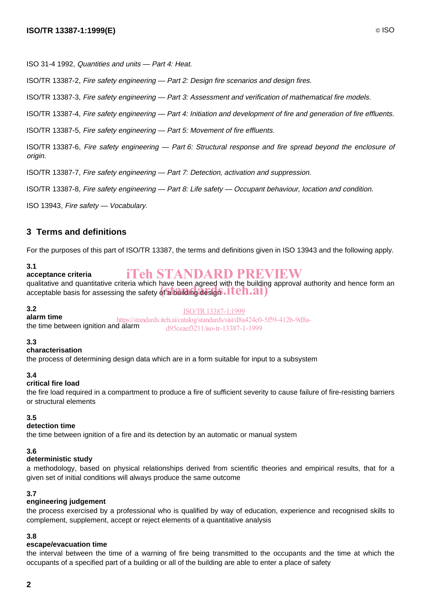ISO 31-4 1992, Quantities and units — Part 4: Heat.

ISO/TR 13387-2, Fire safety engineering — Part 2: Design fire scenarios and design fires.

ISO/TR 13387-3, Fire safety engineering — Part 3: Assessment and verification of mathematical fire models.

ISO/TR 13387-4, Fire safety engineering — Part 4: Initiation and development of fire and generation of fire effluents.

ISO/TR 13387-5, Fire safety engineering — Part 5: Movement of fire effluents.

ISO/TR 13387-6, Fire safety engineering — Part 6: Structural response and fire spread beyond the enclosure of origin.

ISO/TR 13387-7, Fire safety engineering — Part 7: Detection, activation and suppression.

ISO/TR 13387-8, Fire safety engineering — Part 8: Life safety — Occupant behaviour, location and condition.

ISO 13943, Fire safety — Vocabulary.

# **3 Terms and definitions**

For the purposes of this part of ISO/TR 13387, the terms and definitions given in ISO 13943 and the following apply.

#### **3.1**

#### **acceptance criteria** iTeh STANDARD PREVIEW

qualitative and quantitative criteria which have been agreed with the building approval authority and hence form an qualitative and quantitative criteria which have been agreed with the building<br>acceptable basis for assessing the safety of a building design . I C **h.ai**)

#### **3.2**

**alarm time** the time between ignition and alarm ISO/TR13387-1:1999 https://standards.iteh.ai/catalog/standards/sist/d8a424c0-5f59-412b-9d8ad95ceaef3211/iso-tr-13387-1-1999

# **3.3**

#### **characterisation**

the process of determining design data which are in a form suitable for input to a subsystem

#### **3.4**

## **critical fire load**

the fire load required in a compartment to produce a fire of sufficient severity to cause failure of fire-resisting barriers or structural elements

# **3.5**

#### **detection time**

the time between ignition of a fire and its detection by an automatic or manual system

#### **3.6**

#### **deterministic study**

a methodology, based on physical relationships derived from scientific theories and empirical results, that for a given set of initial conditions will always produce the same outcome

#### **3.7**

#### **engineering judgement**

the process exercised by a professional who is qualified by way of education, experience and recognised skills to complement, supplement, accept or reject elements of a quantitative analysis

#### **3.8**

#### **escape/evacuation time**

the interval between the time of a warning of fire being transmitted to the occupants and the time at which the occupants of a specified part of a building or all of the building are able to enter a place of safety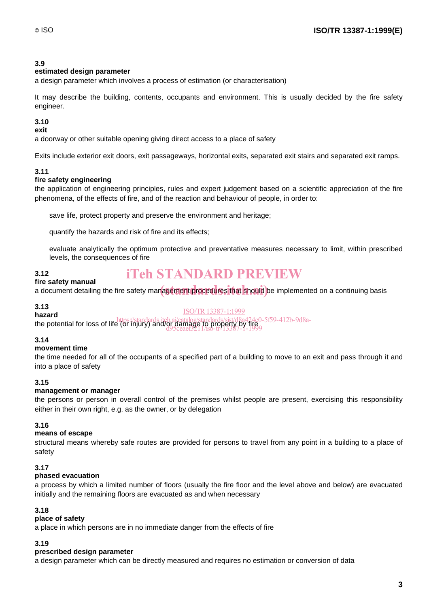# **3.9**

## **estimated design parameter**

a design parameter which involves a process of estimation (or characterisation)

It may describe the building, contents, occupants and environment. This is usually decided by the fire safety engineer.

# **3.10**

#### **exit**

a doorway or other suitable opening giving direct access to a place of safety

Exits include exterior exit doors, exit passageways, horizontal exits, separated exit stairs and separated exit ramps.

# **3.11**

# **fire safety engineering**

the application of engineering principles, rules and expert judgement based on a scientific appreciation of the fire phenomena, of the effects of fire, and of the reaction and behaviour of people, in order to:

- save life, protect property and preserve the environment and heritage;
- quantify the hazards and risk of fire and its effects;
- evaluate analytically the optimum protective and preventative measures necessary to limit, within prescribed levels, the consequences of fire

# iTeh STANDARD PREVIEW

#### **3.12 fire safety manual**

n c surety manual.<br>a document detailing the fire safety management procedures that should be implemented on a continuing basis

#### **3.13 hazard**

ISO/TR13387-1:1999

nazard<br>the potential for loss of life (or injury) and/or damage to property by fire d95ceaef3211/iso-tr-13387-1-1999

# **3.14**

# **movement time**

the time needed for all of the occupants of a specified part of a building to move to an exit and pass through it and into a place of safety

# **3.15**

#### **management or manager**

the persons or person in overall control of the premises whilst people are present, exercising this responsibility either in their own right, e.g. as the owner, or by delegation

# **3.16**

#### **means of escape**

structural means whereby safe routes are provided for persons to travel from any point in a building to a place of safety

#### **3.17**

#### **phased evacuation**

a process by which a limited number of floors (usually the fire floor and the level above and below) are evacuated initially and the remaining floors are evacuated as and when necessary

#### **3.18**

# **place of safety**

a place in which persons are in no immediate danger from the effects of fire

#### **3.19**

#### **prescribed design parameter**

a design parameter which can be directly measured and requires no estimation or conversion of data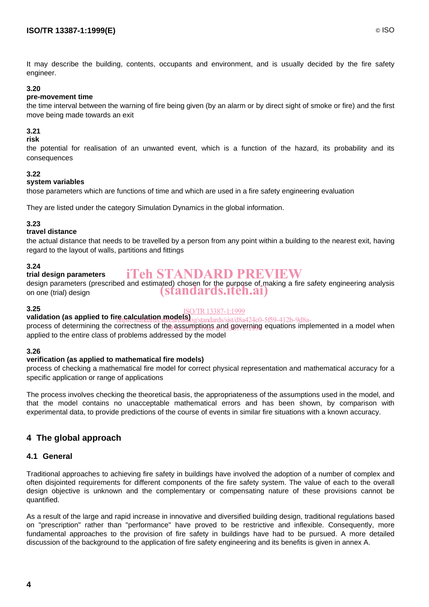It may describe the building, contents, occupants and environment, and is usually decided by the fire safety engineer.

## **3.20**

#### **pre-movement time**

the time interval between the warning of fire being given (by an alarm or by direct sight of smoke or fire) and the first move being made towards an exit

# **3.21**

#### **risk**

the potential for realisation of an unwanted event, which is a function of the hazard, its probability and its consequences

#### **3.22**

#### **system variables**

those parameters which are functions of time and which are used in a fire safety engineering evaluation

They are listed under the category Simulation Dynamics in the global information.

#### **3.23**

#### **travel distance**

the actual distance that needs to be travelled by a person from any point within a building to the nearest exit, having regard to the layout of walls, partitions and fittings

#### **3.24**

#### **trial design parameters** iTeh STANDARD PREVIEW

design parameters (prescribed and estimated) chosen for the purpose of making a fire safety engineering analysis on one (trial) design (standards.iteh.ai)

#### **3.25**

# ISO/TR13387-1:1999

**validation (as applied to fire calculation models)**<br>
https://standards/sist/d8a424c0-5f59-412b-9d8aprocess of determining the correctness of the assumptions and governing equations implemented in a model when applied to the entire class of problems addressed by the model

#### **3.26**

#### **verification (as applied to mathematical fire models)**

process of checking a mathematical fire model for correct physical representation and mathematical accuracy for a specific application or range of applications

The process involves checking the theoretical basis, the appropriateness of the assumptions used in the model, and that the model contains no unacceptable mathematical errors and has been shown, by comparison with experimental data, to provide predictions of the course of events in similar fire situations with a known accuracy.

# **4 The global approach**

#### **4.1 General**

Traditional approaches to achieving fire safety in buildings have involved the adoption of a number of complex and often disjointed requirements for different components of the fire safety system. The value of each to the overall design objective is unknown and the complementary or compensating nature of these provisions cannot be quantified.

As a result of the large and rapid increase in innovative and diversified building design, traditional regulations based on "prescription" rather than "performance" have proved to be restrictive and inflexible. Consequently, more fundamental approaches to the provision of fire safety in buildings have had to be pursued. A more detailed discussion of the background to the application of fire safety engineering and its benefits is given in annex A.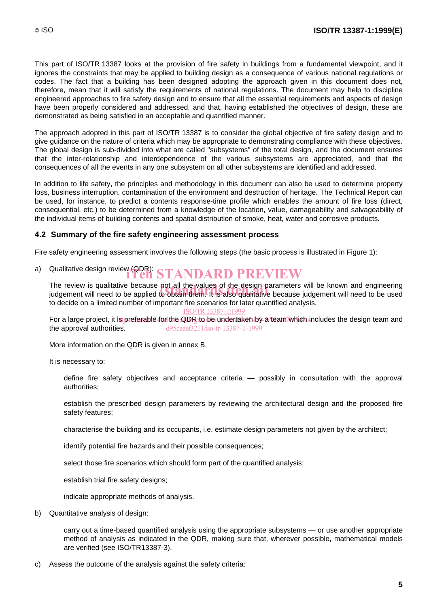This part of ISO/TR 13387 looks at the provision of fire safety in buildings from a fundamental viewpoint, and it ignores the constraints that may be applied to building design as a consequence of various national regulations or codes. The fact that a building has been designed adopting the approach given in this document does not, therefore, mean that it will satisfy the requirements of national regulations. The document may help to discipline engineered approaches to fire safety design and to ensure that all the essential requirements and aspects of design have been properly considered and addressed, and that, having established the objectives of design, these are demonstrated as being satisfied in an acceptable and quantified manner.

The approach adopted in this part of ISO/TR 13387 is to consider the global objective of fire safety design and to give guidance on the nature of criteria which may be appropriate to demonstrating compliance with these objectives. The global design is sub-divided into what are called "subsystems" of the total design, and the document ensures that the inter-relationship and interdependence of the various subsystems are appreciated, and that the consequences of all the events in any one subsystem on all other subsystems are identified and addressed.

In addition to life safety, the principles and methodology in this document can also be used to determine property loss, business interruption, contamination of the environment and destruction of heritage. The Technical Report can be used, for instance, to predict a contents response-time profile which enables the amount of fire loss (direct, consequential, etc.) to be determined from a knowledge of the location, value, damageability and salvageability of the individual items of building contents and spatial distribution of smoke, heat, water and corrosive products.

#### **4.2 Summary of the fire safety engineering assessment process**

Fire safety engineering assessment involves the following steps (the basic process is illustrated in Figure 1):

a) Qualitative design review (QDR): STANDARD PREVIEW

The review is qualitative because not all the values of the design parameters will be known and engineering The review is qualitative because not all the values of the design parameters will be known and engineering<br>judgement will need to be applied to obtain them. It is also qualitative because judgement will need to be used to decide on a limited number of important fire scenarios for later quantified analysis.

ISO/TR13387-1:1999

For a large project, it is preferable for the QDR to be undertaken by affeam which includes the design team and the approval authorities. d95ceaef3211/iso-tr-13387-1-1999

More information on the QDR is given in annex B.

It is necessary to:

- define fire safety objectives and acceptance criteria possibly in consultation with the approval authorities;
- $-$  establish the prescribed design parameters by reviewing the architectural design and the proposed fire safety features;
- characterise the building and its occupants, i.e. estimate design parameters not given by the architect;
- identify potential fire hazards and their possible consequences;
- select those fire scenarios which should form part of the quantified analysis;
- establish trial fire safety designs:
- indicate appropriate methods of analysis.
- b) Quantitative analysis of design:
	- carry out a time-based quantified analysis using the appropriate subsystems or use another appropriate method of analysis as indicated in the QDR, making sure that, wherever possible, mathematical models are verified (see ISO/TR13387-3).
- c) Assess the outcome of the analysis against the safety criteria: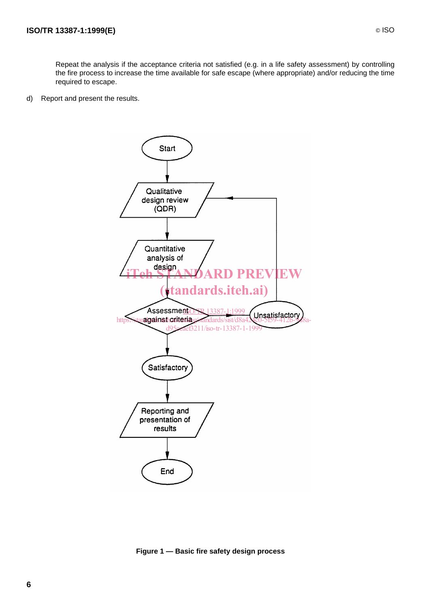- Repeat the analysis if the acceptance criteria not satisfied (e.g. in a life safety assessment) by controlling the fire process to increase the time available for safe escape (where appropriate) and/or reducing the time required to escape.
- d) Report and present the results.



**Figure 1 — Basic fire safety design process**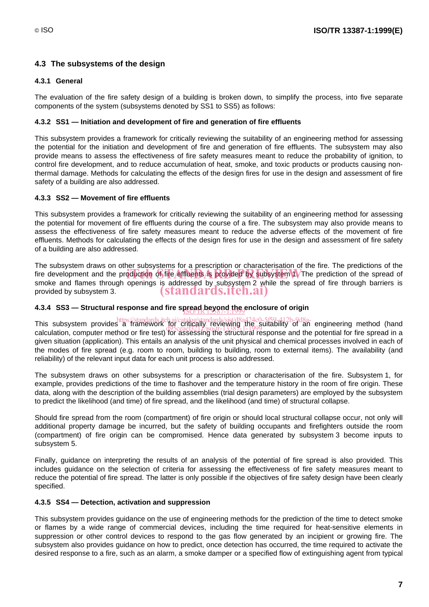# **4.3 The subsystems of the design**

#### **4.3.1 General**

The evaluation of the fire safety design of a building is broken down, to simplify the process, into five separate components of the system (subsystems denoted by SS1 to SS5) as follows:

#### **4.3.2 SS1 — Initiation and development of fire and generation of fire effluents**

This subsystem provides a framework for critically reviewing the suitability of an engineering method for assessing the potential for the initiation and development of fire and generation of fire effluents. The subsystem may also provide means to assess the effectiveness of fire safety measures meant to reduce the probability of ignition, to control fire development, and to reduce accumulation of heat, smoke, and toxic products or products causing nonthermal damage. Methods for calculating the effects of the design fires for use in the design and assessment of fire safety of a building are also addressed.

#### **4.3.3 SS2 — Movement of fire effluents**

This subsystem provides a framework for critically reviewing the suitability of an engineering method for assessing the potential for movement of fire effluents during the course of a fire. The subsystem may also provide means to assess the effectiveness of fire safety measures meant to reduce the adverse effects of the movement of fire effluents. Methods for calculating the effects of the design fires for use in the design and assessment of fire safety of a building are also addressed.

The subsystem draws on other subsystems for a prescription or characterisation of the fire. The predictions of the fire development and the production of fire effluents is provided by subsystem 1. The prediction of the spread of fire expressions is and the production of the spread of smoke and flames through openings is addressed by subsystem 2 while the spread of fire through barriers is provided by subsystem 3. (standards.iteh.ai)

# **4.3.4 SS3 — Structural response and fire spread beyond the enclosure of origin**

This subsystem provides a framework for critically reviewing the suitability of an engineering method (hand<br>This subsystem provides a framework for critically, reviewing the suitability of an engineering method (hand rins subsystem provides a namework for calculation, terrewing and solutioning or an engineering method (name<br>calculation, computer method or fire test) for assessing the structural response and the potential for fire sprea given situation (application). This entails an analysis of the unit physical and chemical processes involved in each of the modes of fire spread (e.g. room to room, building to building, room to external items). The availability (and reliability) of the relevant input data for each unit process is also addressed.

The subsystem draws on other subsystems for a prescription or characterisation of the fire. Subsystem 1, for example, provides predictions of the time to flashover and the temperature history in the room of fire origin. These data, along with the description of the building assemblies (trial design parameters) are employed by the subsystem to predict the likelihood (and time) of fire spread, and the likelihood (and time) of structural collapse.

Should fire spread from the room (compartment) of fire origin or should local structural collapse occur, not only will additional property damage be incurred, but the safety of building occupants and firefighters outside the room (compartment) of fire origin can be compromised. Hence data generated by subsystem 3 become inputs to subsystem 5.

Finally, guidance on interpreting the results of an analysis of the potential of fire spread is also provided. This includes guidance on the selection of criteria for assessing the effectiveness of fire safety measures meant to reduce the potential of fire spread. The latter is only possible if the objectives of fire safety design have been clearly specified.

#### **4.3.5 SS4 — Detection, activation and suppression**

This subsystem provides guidance on the use of engineering methods for the prediction of the time to detect smoke or flames by a wide range of commercial devices, including the time required for heat-sensitive elements in suppression or other control devices to respond to the gas flow generated by an incipient or growing fire. The subsystem also provides guidance on how to predict, once detection has occurred, the time required to activate the desired response to a fire, such as an alarm, a smoke damper or a specified flow of extinguishing agent from typical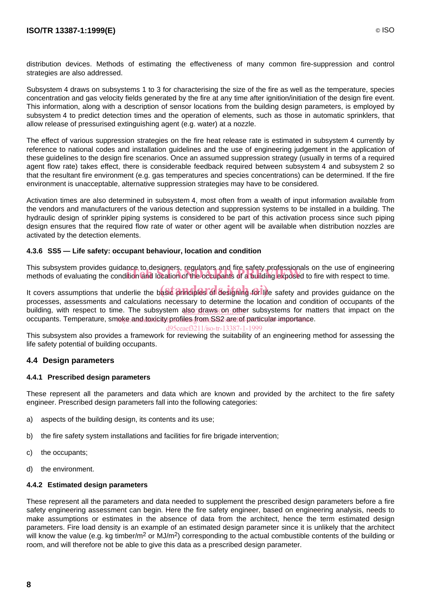distribution devices. Methods of estimating the effectiveness of many common fire-suppression and control strategies are also addressed.

Subsystem 4 draws on subsystems 1 to 3 for characterising the size of the fire as well as the temperature, species concentration and gas velocity fields generated by the fire at any time after ignition/initiation of the design fire event. This information, along with a description of sensor locations from the building design parameters, is employed by subsystem 4 to predict detection times and the operation of elements, such as those in automatic sprinklers, that allow release of pressurised extinguishing agent (e.g. water) at a nozzle.

The effect of various suppression strategies on the fire heat release rate is estimated in subsystem 4 currently by reference to national codes and installation guidelines and the use of engineering judgement in the application of these guidelines to the design fire scenarios. Once an assumed suppression strategy (usually in terms of a required agent flow rate) takes effect, there is considerable feedback required between subsystem 4 and subsystem 2 so that the resultant fire environment (e.g. gas temperatures and species concentrations) can be determined. If the fire environment is unacceptable, alternative suppression strategies may have to be considered.

Activation times are also determined in subsystem 4, most often from a wealth of input information available from the vendors and manufacturers of the various detection and suppression systems to be installed in a building. The hydraulic design of sprinkler piping systems is considered to be part of this activation process since such piping design ensures that the required flow rate of water or other agent will be available when distribution nozzles are activated by the detection elements.

#### **4.3.6 SS5 — Life safety: occupant behaviour, location and condition**

This subsystem provides guidance to designers, regulators and fire safety professionals on the use of engineering This subsystem provides guidance to designers, regulators and life safety professionals on the use of engineerin<br>methods of evaluating the condition and location of the occupants of a building exposed to fire with respect

It covers assumptions that underlie the basic principles of designing for life safety and provides guidance on the processes, assessments and calculations necessary to determine the location and condition of occupants of the building, with respect to time. The subsystem also/draws on other subsystems for matters that impact on the occupants. Temperature, smoke and toxicity profiles from SS2 are of particular importance.

#### d95ceaef3211/iso-tr-13387-1-1999

This subsystem also provides a framework for reviewing the suitability of an engineering method for assessing the life safety potential of building occupants.

#### **4.4 Design parameters**

#### **4.4.1 Prescribed design parameters**

These represent all the parameters and data which are known and provided by the architect to the fire safety engineer. Prescribed design parameters fall into the following categories:

- a) aspects of the building design, its contents and its use;
- b) the fire safety system installations and facilities for fire brigade intervention;
- c) the occupants;
- d) the environment.

#### **4.4.2 Estimated design parameters**

These represent all the parameters and data needed to supplement the prescribed design parameters before a fire safety engineering assessment can begin. Here the fire safety engineer, based on engineering analysis, needs to make assumptions or estimates in the absence of data from the architect, hence the term estimated design parameters. Fire load density is an example of an estimated design parameter since it is unlikely that the architect will know the value (e.g. kg timber/m<sup>2</sup> or MJ/m<sup>2</sup>) corresponding to the actual combustible contents of the building or room, and will therefore not be able to give this data as a prescribed design parameter.